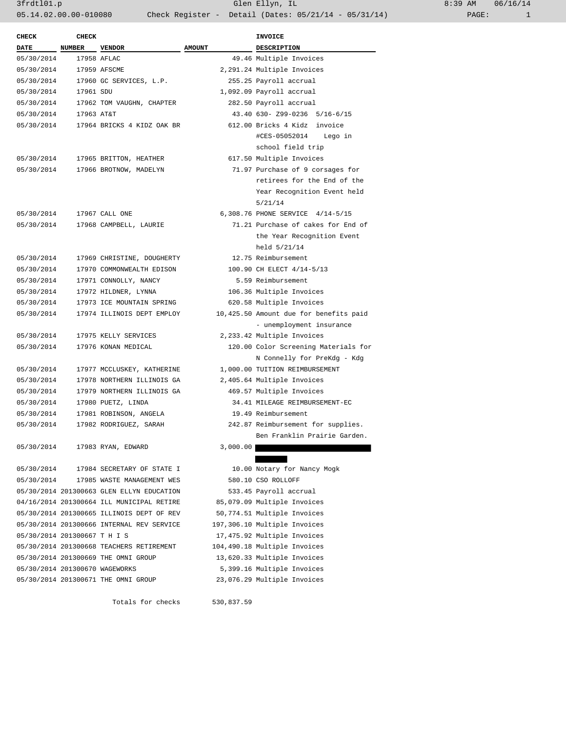| $:39$ AM |       | 06/16/14 |
|----------|-------|----------|
|          | PAGE: |          |

| <b>CHECK</b>                   | <b>CHECK</b> |                                           |               | <b>INVOICE</b>                                                     |  |
|--------------------------------|--------------|-------------------------------------------|---------------|--------------------------------------------------------------------|--|
| <b>DATE</b>                    | NUMBER       | <b>VENDOR</b>                             | <b>AMOUNT</b> | DESCRIPTION                                                        |  |
| 05/30/2014                     |              | 17958 AFLAC                               |               | 49.46 Multiple Invoices                                            |  |
| 05/30/2014                     |              | 17959 AFSCME                              |               | 2,291.24 Multiple Invoices                                         |  |
| 05/30/2014                     |              | 17960 GC SERVICES, L.P.                   |               | 255.25 Payroll accrual                                             |  |
| 05/30/2014                     | 17961 SDU    |                                           |               | 1,092.09 Payroll accrual                                           |  |
| 05/30/2014                     |              | 17962 TOM VAUGHN, CHAPTER                 |               | 282.50 Payroll accrual                                             |  |
| 05/30/2014                     | 17963 AT&T   |                                           |               | 43.40 630- Z99-0236 5/16-6/15                                      |  |
| 05/30/2014                     |              | 17964 BRICKS 4 KIDZ OAK BR                |               | 612.00 Bricks 4 Kidz invoice                                       |  |
|                                |              |                                           |               | #CES-05052014 Lego in                                              |  |
|                                |              |                                           |               | school field trip                                                  |  |
| 05/30/2014                     |              | 17965 BRITTON, HEATHER                    |               | 617.50 Multiple Invoices                                           |  |
| 05/30/2014                     |              | 17966 BROTNOW, MADELYN                    |               | 71.97 Purchase of 9 corsages for                                   |  |
|                                |              |                                           |               | retirees for the End of the                                        |  |
|                                |              |                                           |               | Year Recognition Event held                                        |  |
|                                |              |                                           |               | 5/21/14                                                            |  |
| 05/30/2014                     |              | 17967 CALL ONE                            |               | 6,308.76 PHONE SERVICE 4/14-5/15                                   |  |
| 05/30/2014                     |              | 17968 CAMPBELL, LAURIE                    |               | 71.21 Purchase of cakes for End of                                 |  |
|                                |              |                                           |               | the Year Recognition Event                                         |  |
|                                |              |                                           |               | held 5/21/14                                                       |  |
| 05/30/2014                     |              | 17969 CHRISTINE, DOUGHERTY                |               | 12.75 Reimbursement                                                |  |
| 05/30/2014                     |              | 17970 COMMONWEALTH EDISON                 |               | 100.90 CH ELECT 4/14-5/13                                          |  |
| 05/30/2014                     |              | 17971 CONNOLLY, NANCY                     |               | 5.59 Reimbursement                                                 |  |
| 05/30/2014                     |              | 17972 HILDNER, LYNNA                      |               | 106.36 Multiple Invoices                                           |  |
| 05/30/2014                     |              | 17973 ICE MOUNTAIN SPRING                 |               | 620.58 Multiple Invoices                                           |  |
| 05/30/2014                     |              | 17974 ILLINOIS DEPT EMPLOY                |               | 10,425.50 Amount due for benefits paid                             |  |
|                                |              |                                           |               | - unemployment insurance                                           |  |
| 05/30/2014                     |              | 17975 KELLY SERVICES                      |               | 2,233.42 Multiple Invoices                                         |  |
| 05/30/2014                     |              | 17976 KONAN MEDICAL                       |               | 120.00 Color Screening Materials for                               |  |
|                                |              |                                           |               | N Connelly for PreKdg - Kdg                                        |  |
| 05/30/2014                     |              | 17977 MCCLUSKEY, KATHERINE                |               | 1,000.00 TUITION REIMBURSEMENT                                     |  |
| 05/30/2014                     |              | 17978 NORTHERN ILLINOIS GA                |               | 2,405.64 Multiple Invoices                                         |  |
| 05/30/2014                     |              | 17979 NORTHERN ILLINOIS GA                |               | 469.57 Multiple Invoices                                           |  |
| 05/30/2014                     |              | 17980 PUETZ, LINDA                        |               | 34.41 MILEAGE REIMBURSEMENT-EC                                     |  |
| 05/30/2014                     |              | 17981 ROBINSON, ANGELA                    |               | 19.49 Reimbursement                                                |  |
| 05/30/2014                     |              | 17982 RODRIGUEZ, SARAH                    |               | 242.87 Reimbursement for supplies.<br>Ben Franklin Prairie Garden. |  |
| 05/30/2014                     |              |                                           |               |                                                                    |  |
|                                |              | 17983 RYAN, EDWARD                        | 3,000.00      |                                                                    |  |
| 05/30/2014                     |              | 17984 SECRETARY OF STATE I                |               | 10.00 Notary for Nancy Mogk                                        |  |
| 05/30/2014                     |              | 17985 WASTE MANAGEMENT WES                |               | 580.10 CSO ROLLOFF                                                 |  |
|                                |              | 05/30/2014 201300663 GLEN ELLYN EDUCATION |               | 533.45 Payroll accrual                                             |  |
|                                |              | 04/16/2014 201300664 ILL MUNICIPAL RETIRE |               | 85,079.09 Multiple Invoices                                        |  |
|                                |              | 05/30/2014 201300665 ILLINOIS DEPT OF REV |               | 50,774.51 Multiple Invoices                                        |  |
|                                |              | 05/30/2014 201300666 INTERNAL REV SERVICE |               | 197,306.10 Multiple Invoices                                       |  |
| 05/30/2014 201300667 T H I S   |              |                                           |               | 17,475.92 Multiple Invoices                                        |  |
|                                |              | 05/30/2014 201300668 TEACHERS RETIREMENT  |               | 104,490.18 Multiple Invoices                                       |  |
|                                |              | 05/30/2014 201300669 THE OMNI GROUP       |               | 13,620.33 Multiple Invoices                                        |  |
| 05/30/2014 201300670 WAGEWORKS |              |                                           |               | 5,399.16 Multiple Invoices                                         |  |
|                                |              | 05/30/2014 201300671 THE OMNI GROUP       |               | 23,076.29 Multiple Invoices                                        |  |
|                                |              |                                           |               |                                                                    |  |

Totals for checks 530,837.59